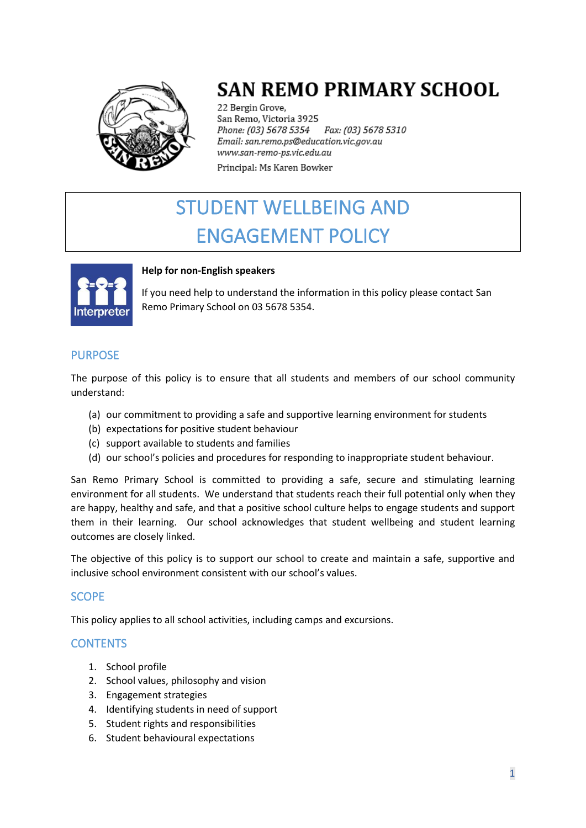

# **SAN REMO PRIMARY SCHOOL**

22 Bergin Grove, San Remo, Victoria 3925 Phone: (03) 5678 5354 Fax: (03) 5678 5310 Email: san.remo.ps@education.vic.gov.au www.san-remo-ps.vic.edu.au Principal: Ms Karen Bowker

# STUDENT WELLBEING AND ENGAGEMENT POLICY



#### **Help for non-English speakers**

If you need help to understand the information in this policy please contact San Remo Primary School on 03 5678 5354.

## PURPOSE

The purpose of this policy is to ensure that all students and members of our school community understand:

- (a) our commitment to providing a safe and supportive learning environment for students
- (b) expectations for positive student behaviour
- (c) support available to students and families
- (d) our school's policies and procedures for responding to inappropriate student behaviour.

San Remo Primary School is committed to providing a safe, secure and stimulating learning environment for all students. We understand that students reach their full potential only when they are happy, healthy and safe, and that a positive school culture helps to engage students and support them in their learning. Our school acknowledges that student wellbeing and student learning outcomes are closely linked.

The objective of this policy is to support our school to create and maintain a safe, supportive and inclusive school environment consistent with our school's values.

## **SCOPE**

This policy applies to all school activities, including camps and excursions.

## **CONTENTS**

- 1. School profile
- 2. School values, philosophy and vision
- 3. Engagement strategies
- 4. Identifying students in need of support
- 5. Student rights and responsibilities
- 6. Student behavioural expectations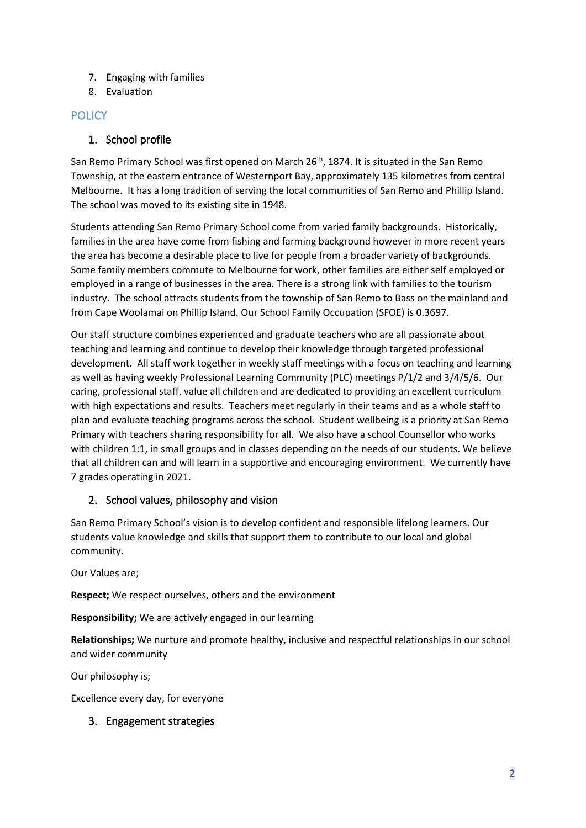- 7. Engaging with families
- 8. Evaluation

# **POLICY**

## 1. School profile

San Remo Primary School was first opened on March 26<sup>th</sup>, 1874. It is situated in the San Remo Township, at the eastern entrance of Westernport Bay, approximately 135 kilometres from central Melbourne. It has a long tradition of serving the local communities of San Remo and Phillip Island. The school was moved to its existing site in 1948.

Students attending San Remo Primary School come from varied family backgrounds. Historically, families in the area have come from fishing and farming background however in more recent years the area has become a desirable place to live for people from a broader variety of backgrounds. Some family members commute to Melbourne for work, other families are either self employed or employed in a range of businesses in the area. There is a strong link with families to the tourism industry. The school attracts students from the township of San Remo to Bass on the mainland and from Cape Woolamai on Phillip Island. Our School Family Occupation (SFOE) is 0.3697.

Our staff structure combines experienced and graduate teachers who are all passionate about teaching and learning and continue to develop their knowledge through targeted professional development. All staff work together in weekly staff meetings with a focus on teaching and learning as well as having weekly Professional Learning Community (PLC) meetings P/1/2 and 3/4/5/6. Our caring, professional staff, value all children and are dedicated to providing an excellent curriculum with high expectations and results. Teachers meet regularly in their teams and as a whole staff to plan and evaluate teaching programs across the school. Student wellbeing is a priority at San Remo Primary with teachers sharing responsibility for all. We also have a school Counsellor who works with children 1:1, in small groups and in classes depending on the needs of our students. We believe that all children can and will learn in a supportive and encouraging environment. We currently have 7 grades operating in 2021.

# 2. School values, philosophy and vision

San Remo Primary School's vision is to develop confident and responsible lifelong learners. Our students value knowledge and skills that support them to contribute to our local and global community.

Our Values are;

**Respect;** We respect ourselves, others and the environment

**Responsibility;** We are actively engaged in our learning

**Relationships;** We nurture and promote healthy, inclusive and respectful relationships in our school and wider community

Our philosophy is;

Excellence every day, for everyone

## 3. Engagement strategies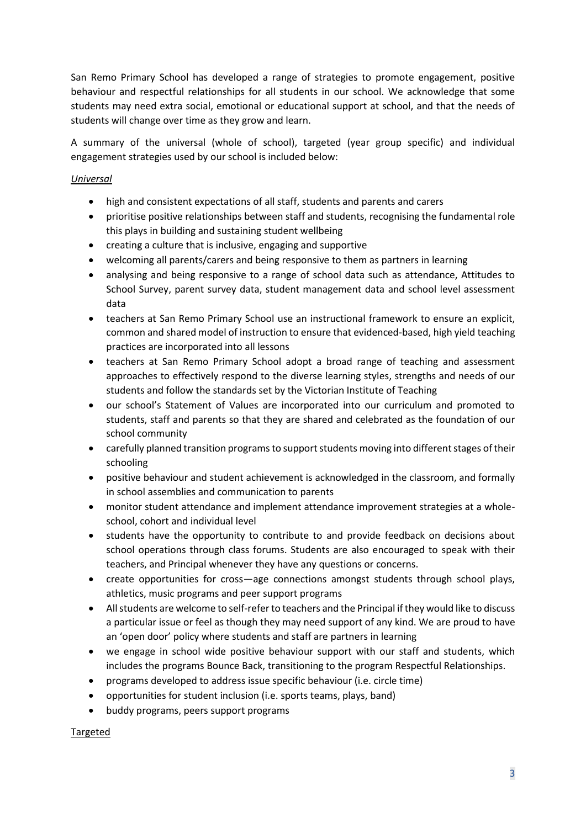San Remo Primary School has developed a range of strategies to promote engagement, positive behaviour and respectful relationships for all students in our school. We acknowledge that some students may need extra social, emotional or educational support at school, and that the needs of students will change over time as they grow and learn.

A summary of the universal (whole of school), targeted (year group specific) and individual engagement strategies used by our school is included below:

#### *Universal*

- high and consistent expectations of all staff, students and parents and carers
- prioritise positive relationships between staff and students, recognising the fundamental role this plays in building and sustaining student wellbeing
- creating a culture that is inclusive, engaging and supportive
- welcoming all parents/carers and being responsive to them as partners in learning
- analysing and being responsive to a range of school data such as attendance, Attitudes to School Survey, parent survey data, student management data and school level assessment data
- teachers at San Remo Primary School use an instructional framework to ensure an explicit, common and shared model of instruction to ensure that evidenced-based, high yield teaching practices are incorporated into all lessons
- teachers at San Remo Primary School adopt a broad range of teaching and assessment approaches to effectively respond to the diverse learning styles, strengths and needs of our students and follow the standards set by the Victorian Institute of Teaching
- our school's Statement of Values are incorporated into our curriculum and promoted to students, staff and parents so that they are shared and celebrated as the foundation of our school community
- carefully planned transition programs to support students moving into different stages of their schooling
- positive behaviour and student achievement is acknowledged in the classroom, and formally in school assemblies and communication to parents
- monitor student attendance and implement attendance improvement strategies at a wholeschool, cohort and individual level
- students have the opportunity to contribute to and provide feedback on decisions about school operations through class forums. Students are also encouraged to speak with their teachers, and Principal whenever they have any questions or concerns.
- create opportunities for cross—age connections amongst students through school plays, athletics, music programs and peer support programs
- All students are welcome to self-refer to teachers and the Principal if they would like to discuss a particular issue or feel as though they may need support of any kind. We are proud to have an 'open door' policy where students and staff are partners in learning
- we engage in school wide positive behaviour support with our staff and students, which includes the programs Bounce Back, transitioning to the program Respectful Relationships.
- programs developed to address issue specific behaviour (i.e. circle time)
- opportunities for student inclusion (i.e. sports teams, plays, band)
- buddy programs, peers support programs

Targeted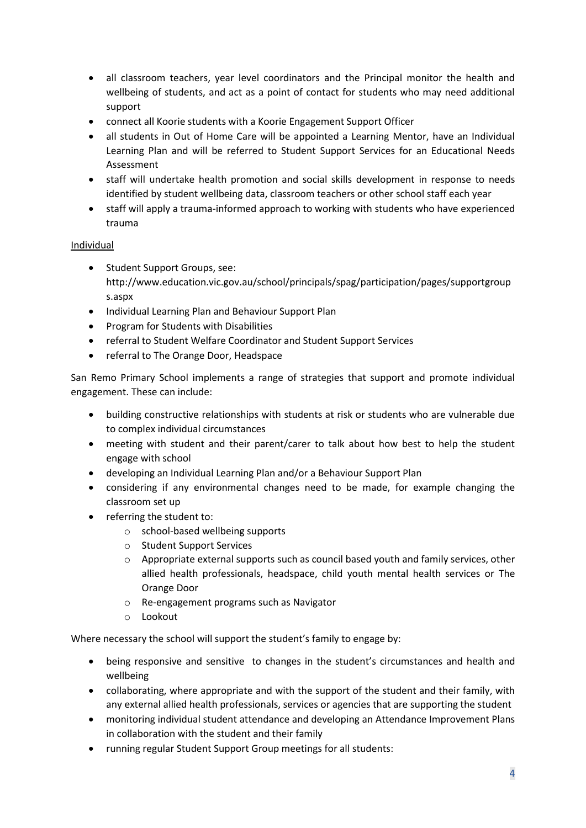- all classroom teachers, year level coordinators and the Principal monitor the health and wellbeing of students, and act as a point of contact for students who may need additional support
- connect all Koorie students with a Koorie Engagement Support Officer
- all students in Out of Home Care will be appointed a Learning Mentor, have an Individual Learning Plan and will be referred to Student Support Services for an Educational Needs Assessment
- staff will undertake health promotion and social skills development in response to needs identified by student wellbeing data, classroom teachers or other school staff each year
- staff will apply a trauma-informed approach to working with students who have experienced trauma

#### Individual

- Student Support Groups, see: http://www.education.vic.gov.au/school/principals/spag/participation/pages/supportgroup s.aspx
- Individual Learning Plan and Behaviour Support Plan
- Program for Students with Disabilities
- referral to Student Welfare Coordinator and Student Support Services
- referral to The Orange Door, Headspace

San Remo Primary School implements a range of strategies that support and promote individual engagement. These can include:

- building constructive relationships with students at risk or students who are vulnerable due to complex individual circumstances
- meeting with student and their parent/carer to talk about how best to help the student engage with school
- developing an Individual Learning Plan and/or a Behaviour Support Plan
- considering if any environmental changes need to be made, for example changing the classroom set up
- referring the student to:
	- o school-based wellbeing supports
	- o Student Support Services
	- o Appropriate external supports such as council based youth and family services, other allied health professionals, headspace, child youth mental health services or The Orange Door
	- o Re-engagement programs such as Navigator
	- o Lookout

Where necessary the school will support the student's family to engage by:

- being responsive and sensitive to changes in the student's circumstances and health and wellbeing
- collaborating, where appropriate and with the support of the student and their family, with any external allied health professionals, services or agencies that are supporting the student
- monitoring individual student attendance and developing an Attendance Improvement Plans in collaboration with the student and their family
- running regular Student Support Group meetings for all students: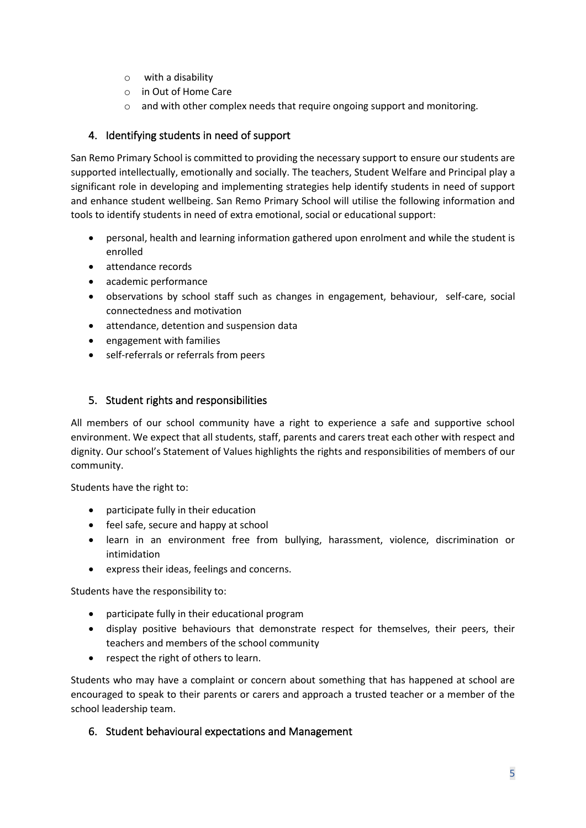- o with a disability
- o in Out of Home Care
- $\circ$  and with other complex needs that require ongoing support and monitoring.

## 4. Identifying students in need of support

San Remo Primary School is committed to providing the necessary support to ensure our students are supported intellectually, emotionally and socially. The teachers, Student Welfare and Principal play a significant role in developing and implementing strategies help identify students in need of support and enhance student wellbeing. San Remo Primary School will utilise the following information and tools to identify students in need of extra emotional, social or educational support:

- personal, health and learning information gathered upon enrolment and while the student is enrolled
- attendance records
- academic performance
- observations by school staff such as changes in engagement, behaviour, self-care, social connectedness and motivation
- attendance, detention and suspension data
- engagement with families
- self-referrals or referrals from peers

#### 5. Student rights and responsibilities

All members of our school community have a right to experience a safe and supportive school environment. We expect that all students, staff, parents and carers treat each other with respect and dignity. Our school's Statement of Values highlights the rights and responsibilities of members of our community.

Students have the right to:

- participate fully in their education
- feel safe, secure and happy at school
- learn in an environment free from bullying, harassment, violence, discrimination or intimidation
- express their ideas, feelings and concerns.

Students have the responsibility to:

- participate fully in their educational program
- display positive behaviours that demonstrate respect for themselves, their peers, their teachers and members of the school community
- respect the right of others to learn.

Students who may have a complaint or concern about something that has happened at school are encouraged to speak to their parents or carers and approach a trusted teacher or a member of the school leadership team.

6. Student behavioural expectations and Management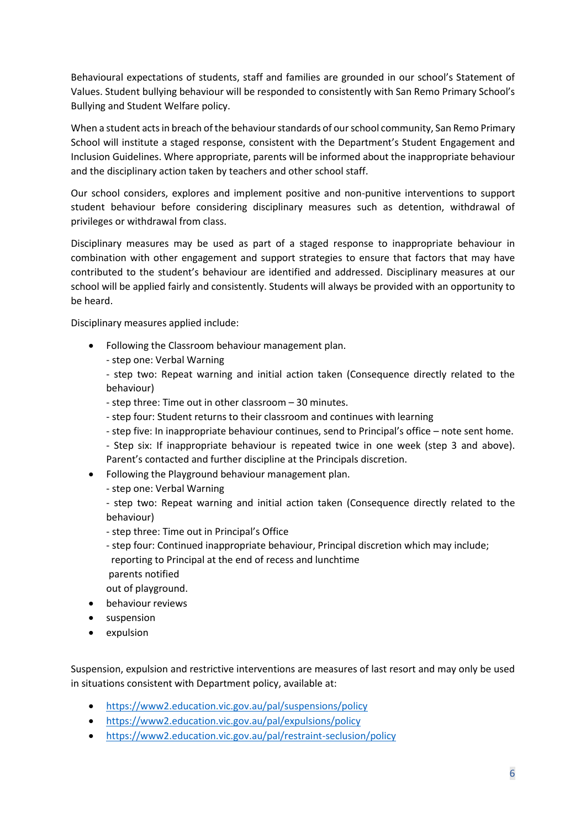Behavioural expectations of students, staff and families are grounded in our school's Statement of Values. Student bullying behaviour will be responded to consistently with San Remo Primary School's Bullying and Student Welfare policy.

When a student acts in breach of the behaviour standards of our school community, San Remo Primary School will institute a staged response, consistent with the Department's Student Engagement and Inclusion Guidelines. Where appropriate, parents will be informed about the inappropriate behaviour and the disciplinary action taken by teachers and other school staff.

Our school considers, explores and implement positive and non-punitive interventions to support student behaviour before considering disciplinary measures such as detention, withdrawal of privileges or withdrawal from class.

Disciplinary measures may be used as part of a staged response to inappropriate behaviour in combination with other engagement and support strategies to ensure that factors that may have contributed to the student's behaviour are identified and addressed. Disciplinary measures at our school will be applied fairly and consistently. Students will always be provided with an opportunity to be heard.

Disciplinary measures applied include:

- Following the Classroom behaviour management plan.
	- step one: Verbal Warning

- step two: Repeat warning and initial action taken (Consequence directly related to the behaviour)

- step three: Time out in other classroom – 30 minutes.

- step four: Student returns to their classroom and continues with learning
- step five: In inappropriate behaviour continues, send to Principal's office note sent home.

- Step six: If inappropriate behaviour is repeated twice in one week (step 3 and above). Parent's contacted and further discipline at the Principals discretion.

- Following the Playground behaviour management plan.
	- step one: Verbal Warning

- step two: Repeat warning and initial action taken (Consequence directly related to the behaviour)

- step three: Time out in Principal's Office
- step four: Continued inappropriate behaviour, Principal discretion which may include; reporting to Principal at the end of recess and lunchtime
- parents notified

out of playground.

- behaviour reviews
- suspension
- expulsion

Suspension, expulsion and restrictive interventions are measures of last resort and may only be used in situations consistent with Department policy, available at:

- <https://www2.education.vic.gov.au/pal/suspensions/policy>
- <https://www2.education.vic.gov.au/pal/expulsions/policy>
- <https://www2.education.vic.gov.au/pal/restraint-seclusion/policy>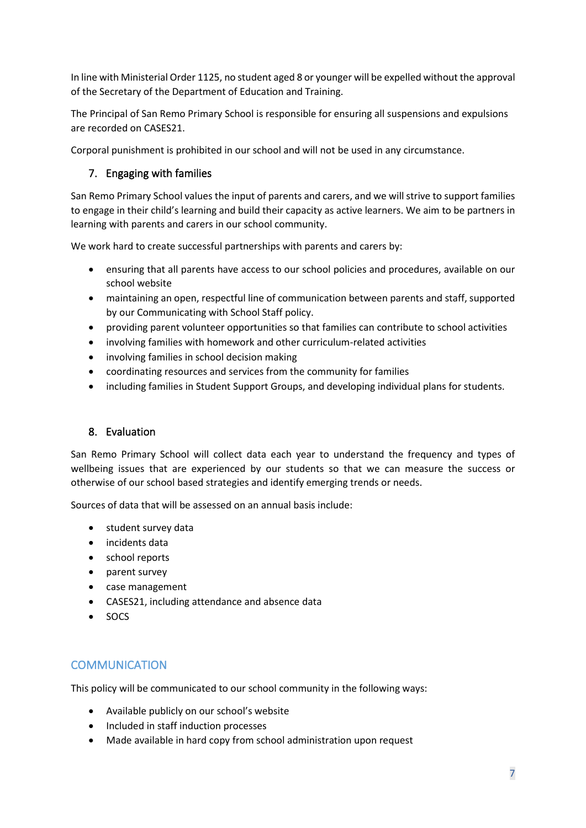In line with Ministerial Order 1125, no student aged 8 or younger will be expelled without the approval of the Secretary of the Department of Education and Training.

The Principal of San Remo Primary School is responsible for ensuring all suspensions and expulsions are recorded on CASES21.

Corporal punishment is prohibited in our school and will not be used in any circumstance.

## 7. Engaging with families

San Remo Primary School values the input of parents and carers, and we will strive to support families to engage in their child's learning and build their capacity as active learners. We aim to be partners in learning with parents and carers in our school community.

We work hard to create successful partnerships with parents and carers by:

- ensuring that all parents have access to our school policies and procedures, available on our school website
- maintaining an open, respectful line of communication between parents and staff, supported by our Communicating with School Staff policy.
- providing parent volunteer opportunities so that families can contribute to school activities
- involving families with homework and other curriculum-related activities
- involving families in school decision making
- coordinating resources and services from the community for families
- including families in Student Support Groups, and developing individual plans for students.

## 8. Evaluation

San Remo Primary School will collect data each year to understand the frequency and types of wellbeing issues that are experienced by our students so that we can measure the success or otherwise of our school based strategies and identify emerging trends or needs.

Sources of data that will be assessed on an annual basis include:

- student survey data
- incidents data
- school reports
- parent survey
- case management
- CASES21, including attendance and absence data
- SOCS

# **COMMUNICATION**

This policy will be communicated to our school community in the following ways:

- Available publicly on our school's website
- Included in staff induction processes
- Made available in hard copy from school administration upon request